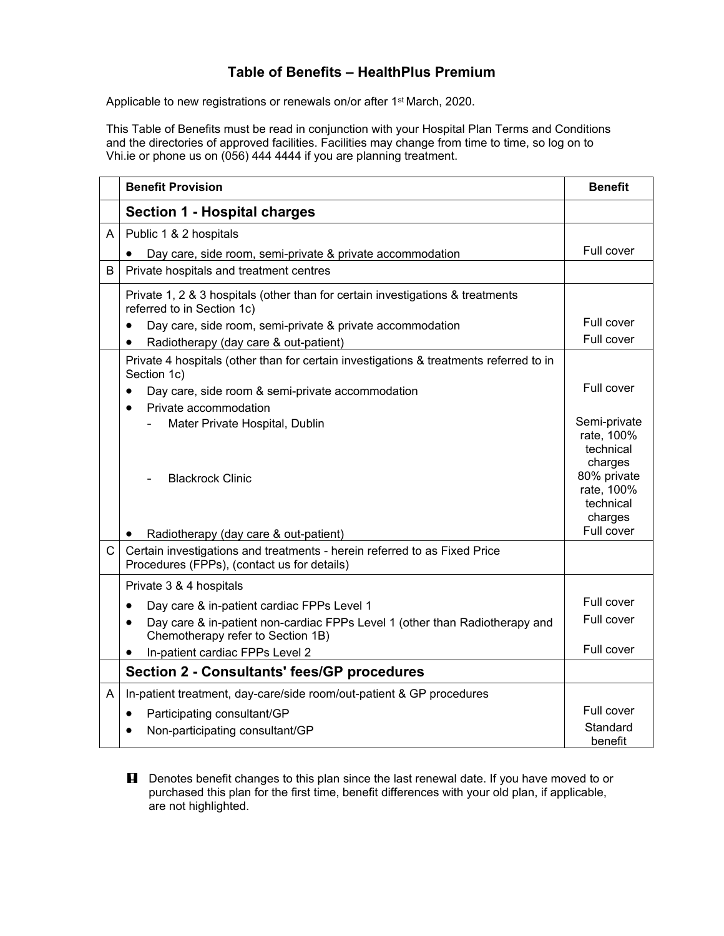## **Table of Benefits – HealthPlus Premium**

Applicable to new registrations or renewals on/or after 1<sup>st</sup> March, 2020.

This Table of Benefits must be read in conjunction with your Hospital Plan Terms and Conditions and the directories of approved facilities. Facilities may change from time to time, so log on to Vhi.ie or phone us on (056) 444 4444 if you are planning treatment.

|              | <b>Benefit Provision</b>                                                                                                      | <b>Benefit</b>                                               |
|--------------|-------------------------------------------------------------------------------------------------------------------------------|--------------------------------------------------------------|
|              | <b>Section 1 - Hospital charges</b>                                                                                           |                                                              |
| Α            | Public 1 & 2 hospitals                                                                                                        |                                                              |
|              | Day care, side room, semi-private & private accommodation                                                                     | Full cover                                                   |
| B            | Private hospitals and treatment centres                                                                                       |                                                              |
|              | Private 1, 2 & 3 hospitals (other than for certain investigations & treatments<br>referred to in Section 1c)                  | Full cover                                                   |
|              | Day care, side room, semi-private & private accommodation<br>$\bullet$                                                        |                                                              |
|              | Radiotherapy (day care & out-patient)<br>$\bullet$                                                                            | Full cover                                                   |
|              | Private 4 hospitals (other than for certain investigations & treatments referred to in<br>Section 1c)                         |                                                              |
|              | Day care, side room & semi-private accommodation<br>$\bullet$<br>Private accommodation<br>$\bullet$                           | Full cover                                                   |
|              | Mater Private Hospital, Dublin                                                                                                | Semi-private<br>rate, 100%<br>technical                      |
|              | <b>Blackrock Clinic</b>                                                                                                       | charges<br>80% private<br>rate, 100%<br>technical<br>charges |
|              | Radiotherapy (day care & out-patient)                                                                                         | Full cover                                                   |
| $\mathsf{C}$ | Certain investigations and treatments - herein referred to as Fixed Price<br>Procedures (FPPs), (contact us for details)      |                                                              |
|              | Private 3 & 4 hospitals                                                                                                       |                                                              |
|              | Day care & in-patient cardiac FPPs Level 1<br>$\bullet$                                                                       | Full cover                                                   |
|              | Day care & in-patient non-cardiac FPPs Level 1 (other than Radiotherapy and<br>$\bullet$<br>Chemotherapy refer to Section 1B) | Full cover                                                   |
|              | In-patient cardiac FPPs Level 2<br>$\bullet$                                                                                  | Full cover                                                   |
|              | <b>Section 2 - Consultants' fees/GP procedures</b>                                                                            |                                                              |
| A            | In-patient treatment, day-care/side room/out-patient & GP procedures                                                          |                                                              |
|              | Participating consultant/GP<br>$\bullet$                                                                                      | Full cover                                                   |
|              | Non-participating consultant/GP                                                                                               | Standard<br>benefit                                          |

**H** Denotes benefit changes to this plan since the last renewal date. If you have moved to or purchased this plan for the first time, benefit differences with your old plan, if applicable, are not highlighted.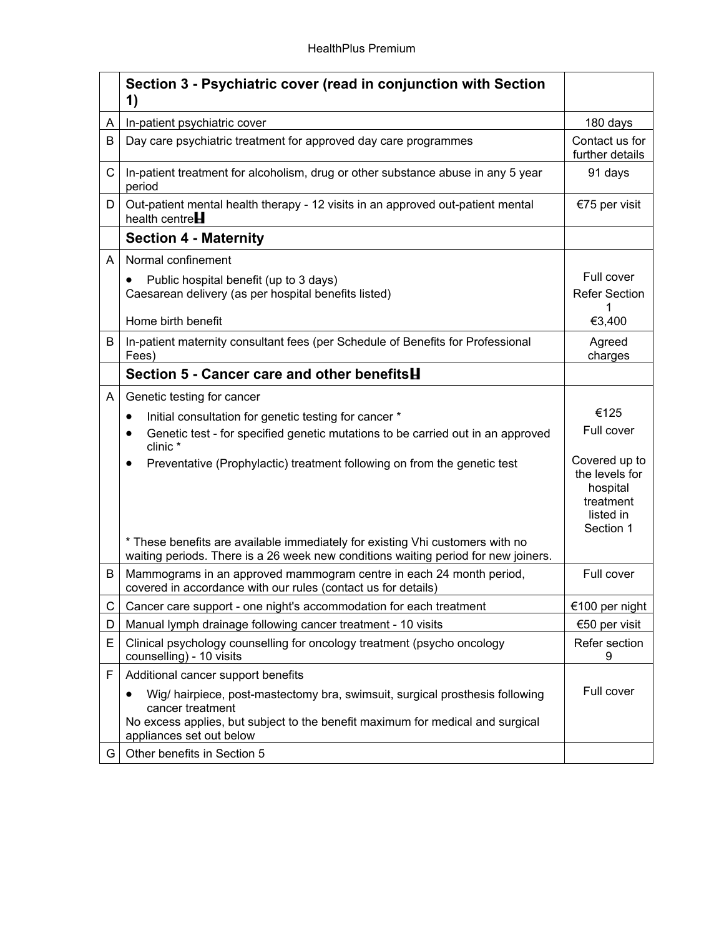|   | Section 3 - Psychiatric cover (read in conjunction with Section<br>1)                                                                                                                                          |                                                                                    |
|---|----------------------------------------------------------------------------------------------------------------------------------------------------------------------------------------------------------------|------------------------------------------------------------------------------------|
| A | In-patient psychiatric cover                                                                                                                                                                                   | 180 days                                                                           |
| B | Day care psychiatric treatment for approved day care programmes                                                                                                                                                | Contact us for<br>further details                                                  |
| C | In-patient treatment for alcoholism, drug or other substance abuse in any 5 year<br>period                                                                                                                     | 91 days                                                                            |
| D | Out-patient mental health therapy - 12 visits in an approved out-patient mental<br>health centre $H$                                                                                                           | €75 per visit                                                                      |
|   | <b>Section 4 - Maternity</b>                                                                                                                                                                                   |                                                                                    |
| A | Normal confinement                                                                                                                                                                                             |                                                                                    |
|   | Public hospital benefit (up to 3 days)                                                                                                                                                                         | Full cover                                                                         |
|   | Caesarean delivery (as per hospital benefits listed)                                                                                                                                                           | <b>Refer Section</b>                                                               |
|   | Home birth benefit                                                                                                                                                                                             | €3,400                                                                             |
| B | In-patient maternity consultant fees (per Schedule of Benefits for Professional<br>Fees)                                                                                                                       | Agreed<br>charges                                                                  |
|   | Section 5 - Cancer care and other benefits <b>H</b>                                                                                                                                                            |                                                                                    |
| A | Genetic testing for cancer                                                                                                                                                                                     |                                                                                    |
|   | Initial consultation for genetic testing for cancer *<br>٠                                                                                                                                                     | €125                                                                               |
|   | Genetic test - for specified genetic mutations to be carried out in an approved<br>$\bullet$<br>clinic *                                                                                                       | Full cover                                                                         |
|   | Preventative (Prophylactic) treatment following on from the genetic test                                                                                                                                       | Covered up to<br>the levels for<br>hospital<br>treatment<br>listed in<br>Section 1 |
|   | * These benefits are available immediately for existing Vhi customers with no<br>waiting periods. There is a 26 week new conditions waiting period for new joiners.                                            |                                                                                    |
| В | Mammograms in an approved mammogram centre in each 24 month period,<br>covered in accordance with our rules (contact us for details)                                                                           | Full cover                                                                         |
| С | Cancer care support - one night's accommodation for each treatment                                                                                                                                             | €100 per night                                                                     |
| D | Manual lymph drainage following cancer treatment - 10 visits                                                                                                                                                   | €50 per visit                                                                      |
| E | Clinical psychology counselling for oncology treatment (psycho oncology<br>counselling) - 10 visits                                                                                                            | Refer section<br>9                                                                 |
| F | Additional cancer support benefits                                                                                                                                                                             |                                                                                    |
|   | Wig/ hairpiece, post-mastectomy bra, swimsuit, surgical prosthesis following<br>cancer treatment<br>No excess applies, but subject to the benefit maximum for medical and surgical<br>appliances set out below | Full cover                                                                         |
| G | Other benefits in Section 5                                                                                                                                                                                    |                                                                                    |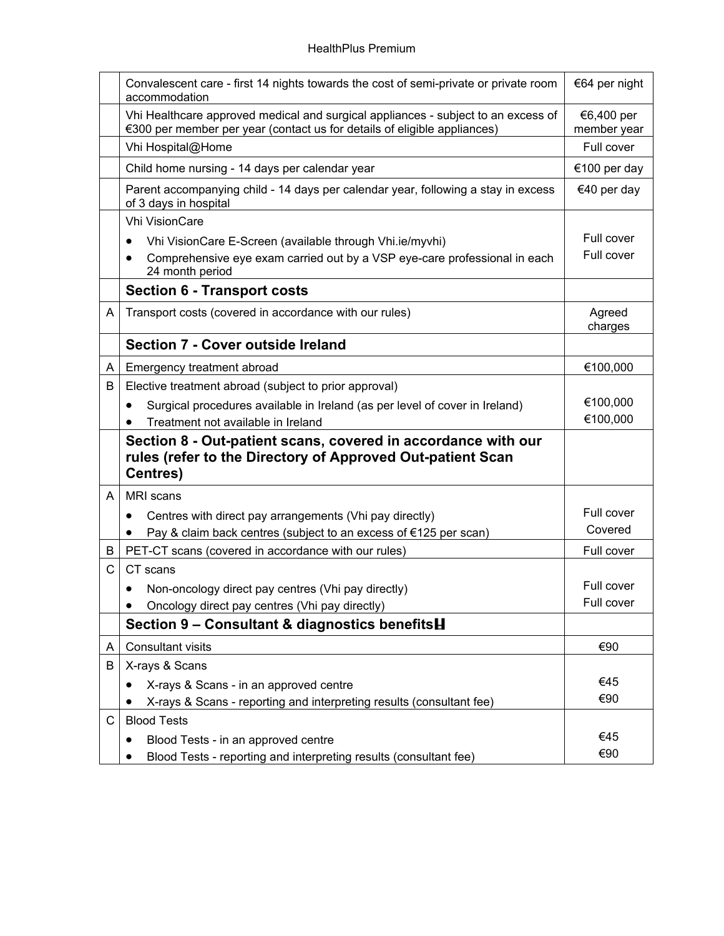|   | Convalescent care - first 14 nights towards the cost of semi-private or private room<br>accommodation                                                         | €64 per night             |
|---|---------------------------------------------------------------------------------------------------------------------------------------------------------------|---------------------------|
|   | Vhi Healthcare approved medical and surgical appliances - subject to an excess of<br>€300 per member per year (contact us for details of eligible appliances) | €6,400 per<br>member year |
|   | Vhi Hospital@Home                                                                                                                                             | Full cover                |
|   | Child home nursing - 14 days per calendar year                                                                                                                | €100 per day              |
|   | Parent accompanying child - 14 days per calendar year, following a stay in excess<br>of 3 days in hospital                                                    | €40 per day               |
|   | <b>Vhi VisionCare</b>                                                                                                                                         |                           |
|   | Vhi VisionCare E-Screen (available through Vhi.ie/myvhi)<br>$\bullet$                                                                                         | Full cover                |
|   | Comprehensive eye exam carried out by a VSP eye-care professional in each<br>24 month period                                                                  | Full cover                |
|   | <b>Section 6 - Transport costs</b>                                                                                                                            |                           |
| A | Transport costs (covered in accordance with our rules)                                                                                                        | Agreed<br>charges         |
|   | Section 7 - Cover outside Ireland                                                                                                                             |                           |
| A | Emergency treatment abroad                                                                                                                                    | €100,000                  |
| В | Elective treatment abroad (subject to prior approval)                                                                                                         |                           |
|   | Surgical procedures available in Ireland (as per level of cover in Ireland)<br>$\bullet$                                                                      | €100,000                  |
|   | Treatment not available in Ireland<br>$\bullet$                                                                                                               | €100,000                  |
|   | Section 8 - Out-patient scans, covered in accordance with our<br>rules (refer to the Directory of Approved Out-patient Scan<br><b>Centres)</b>                |                           |
| A | MRI scans                                                                                                                                                     |                           |
|   | Centres with direct pay arrangements (Vhi pay directly)<br>٠                                                                                                  | Full cover                |
|   | Pay & claim back centres (subject to an excess of €125 per scan)<br>٠                                                                                         | Covered                   |
| B | PET-CT scans (covered in accordance with our rules)                                                                                                           | Full cover                |
| C | CT scans                                                                                                                                                      |                           |
|   | Non-oncology direct pay centres (Vhi pay directly)                                                                                                            | Full cover                |
|   | Oncology direct pay centres (Vhi pay directly)                                                                                                                | Full cover                |
|   | Section 9 - Consultant & diagnostics benefits H                                                                                                               |                           |
| A | <b>Consultant visits</b>                                                                                                                                      | €90                       |
| B | X-rays & Scans                                                                                                                                                |                           |
|   | X-rays & Scans - in an approved centre                                                                                                                        | €45                       |
|   | X-rays & Scans - reporting and interpreting results (consultant fee)                                                                                          | €90                       |
| С | <b>Blood Tests</b>                                                                                                                                            |                           |
|   | Blood Tests - in an approved centre                                                                                                                           | €45                       |
|   | Blood Tests - reporting and interpreting results (consultant fee)                                                                                             | €90                       |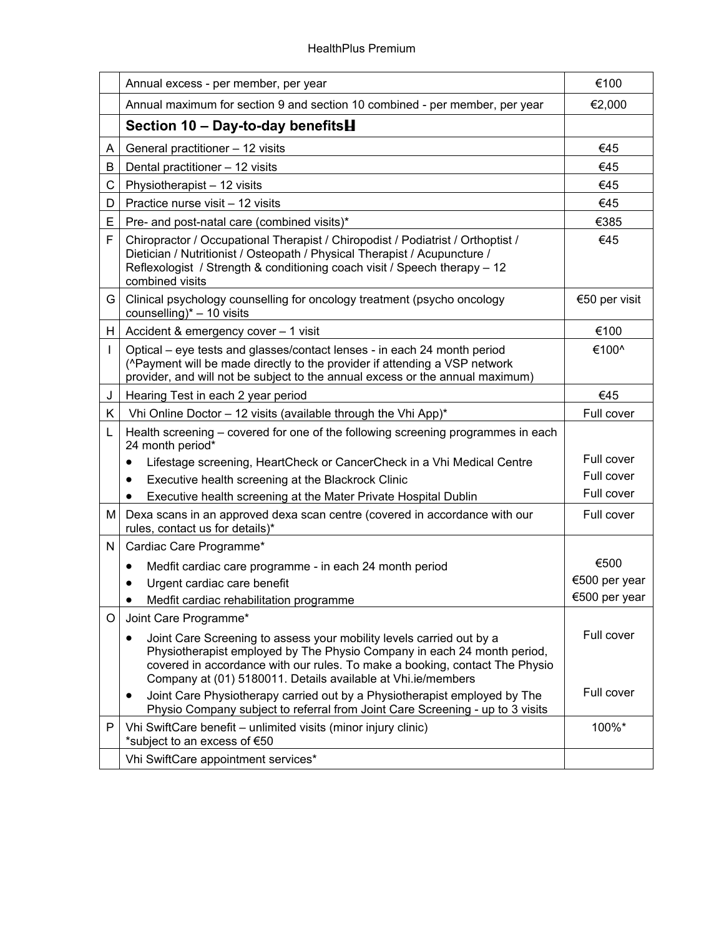|    | Annual excess - per member, per year                                                                                                                                                                                                                                                           | €100          |
|----|------------------------------------------------------------------------------------------------------------------------------------------------------------------------------------------------------------------------------------------------------------------------------------------------|---------------|
|    | Annual maximum for section 9 and section 10 combined - per member, per year                                                                                                                                                                                                                    | €2,000        |
|    | Section 10 - Day-to-day benefits <b>H</b>                                                                                                                                                                                                                                                      |               |
| A  | General practitioner - 12 visits                                                                                                                                                                                                                                                               | €45           |
| B  | Dental practitioner - 12 visits                                                                                                                                                                                                                                                                | €45           |
| C  | Physiotherapist - 12 visits                                                                                                                                                                                                                                                                    | €45           |
| D  | Practice nurse visit - 12 visits                                                                                                                                                                                                                                                               | €45           |
| Е  | Pre- and post-natal care (combined visits)*                                                                                                                                                                                                                                                    | €385          |
| F  | Chiropractor / Occupational Therapist / Chiropodist / Podiatrist / Orthoptist /<br>Dietician / Nutritionist / Osteopath / Physical Therapist / Acupuncture /<br>Reflexologist / Strength & conditioning coach visit / Speech therapy - 12<br>combined visits                                   | €45           |
| G. | Clinical psychology counselling for oncology treatment (psycho oncology<br>counselling) $* - 10$ visits                                                                                                                                                                                        | €50 per visit |
| H  | Accident & emergency cover - 1 visit                                                                                                                                                                                                                                                           | €100          |
| L  | Optical – eye tests and glasses/contact lenses - in each 24 month period<br>(^Payment will be made directly to the provider if attending a VSP network<br>provider, and will not be subject to the annual excess or the annual maximum)                                                        | €100^         |
| J  | Hearing Test in each 2 year period                                                                                                                                                                                                                                                             | €45           |
| K. | Vhi Online Doctor - 12 visits (available through the Vhi App)*                                                                                                                                                                                                                                 | Full cover    |
| L  | Health screening – covered for one of the following screening programmes in each<br>24 month period*                                                                                                                                                                                           |               |
|    | Lifestage screening, HeartCheck or CancerCheck in a Vhi Medical Centre<br>$\bullet$                                                                                                                                                                                                            | Full cover    |
|    | Executive health screening at the Blackrock Clinic<br>٠                                                                                                                                                                                                                                        | Full cover    |
|    | Executive health screening at the Mater Private Hospital Dublin                                                                                                                                                                                                                                | Full cover    |
| м  | Dexa scans in an approved dexa scan centre (covered in accordance with our<br>rules, contact us for details)*                                                                                                                                                                                  | Full cover    |
| N  | Cardiac Care Programme*                                                                                                                                                                                                                                                                        |               |
|    | Medfit cardiac care programme - in each 24 month period<br>$\bullet$                                                                                                                                                                                                                           | €500          |
|    | Urgent cardiac care benefit                                                                                                                                                                                                                                                                    | €500 per year |
|    | Medfit cardiac rehabilitation programme                                                                                                                                                                                                                                                        | €500 per year |
| O  | Joint Care Programme*                                                                                                                                                                                                                                                                          |               |
|    | Joint Care Screening to assess your mobility levels carried out by a<br>Physiotherapist employed by The Physio Company in each 24 month period,<br>covered in accordance with our rules. To make a booking, contact The Physio<br>Company at (01) 5180011. Details available at Vhi.ie/members | Full cover    |
|    | Joint Care Physiotherapy carried out by a Physiotherapist employed by The<br>٠<br>Physio Company subject to referral from Joint Care Screening - up to 3 visits                                                                                                                                | Full cover    |
| P  | Vhi SwiftCare benefit - unlimited visits (minor injury clinic)<br>*subject to an excess of €50                                                                                                                                                                                                 | 100%*         |
|    | Vhi SwiftCare appointment services*                                                                                                                                                                                                                                                            |               |